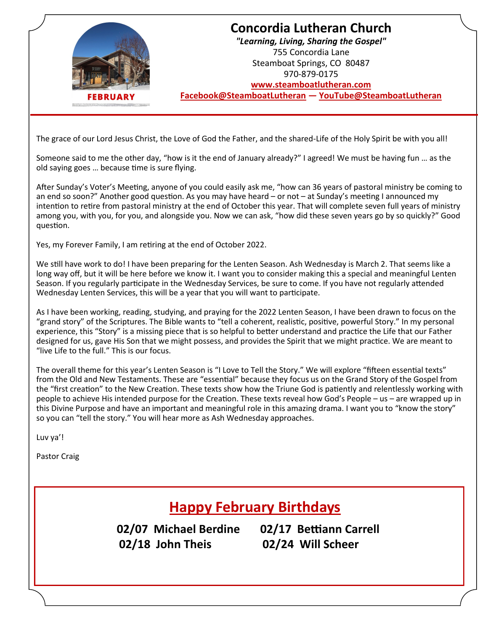

## **Concordia Lutheran Church** *"Learning, Living, Sharing the Gospel"* 755 Concordia Lane Steamboat Springs, CO 80487 970-879-0175 **[www.steamboatlutheran.com](http://steamboatlutheran.com/)**

**[Facebook@SteamboatLutheran](https://www.facebook.com/steamboatlutheran)** *—* **[YouTube@SteamboatLutheran](https://www.youtube.com/channel/UCHP0otl3F8EO2K3JYkD9CQw?view_as=subscriber)**

The grace of our Lord Jesus Christ, the Love of God the Father, and the shared-Life of the Holy Spirit be with you all!

Someone said to me the other day, "how is it the end of January already?" I agreed! We must be having fun … as the old saying goes … because time is sure flying.

After Sunday's Voter's Meeting, anyone of you could easily ask me, "how can 36 years of pastoral ministry be coming to an end so soon?" Another good question. As you may have heard – or not – at Sunday's meeting I announced my intention to retire from pastoral ministry at the end of October this year. That will complete seven full years of ministry among you, with you, for you, and alongside you. Now we can ask, "how did these seven years go by so quickly?" Good question.

Yes, my Forever Family, I am retiring at the end of October 2022.

We still have work to do! I have been preparing for the Lenten Season. Ash Wednesday is March 2. That seems like a long way off, but it will be here before we know it. I want you to consider making this a special and meaningful Lenten Season. If you regularly participate in the Wednesday Services, be sure to come. If you have not regularly attended Wednesday Lenten Services, this will be a year that you will want to participate.

As I have been working, reading, studying, and praying for the 2022 Lenten Season, I have been drawn to focus on the "grand story" of the Scriptures. The Bible wants to "tell a coherent, realistic, positive, powerful Story." In my personal experience, this "Story" is a missing piece that is so helpful to better understand and practice the Life that our Father designed for us, gave His Son that we might possess, and provides the Spirit that we might practice. We are meant to "live Life to the full." This is our focus.

The overall theme for this year's Lenten Season is "I Love to Tell the Story." We will explore "fifteen essential texts" from the Old and New Testaments. These are "essential" because they focus us on the Grand Story of the Gospel from the "first creation" to the New Creation. These texts show how the Triune God is patiently and relentlessly working with people to achieve His intended purpose for the Creation. These texts reveal how God's People – us – are wrapped up in this Divine Purpose and have an important and meaningful role in this amazing drama. I want you to "know the story" so you can "tell the story." You will hear more as Ash Wednesday approaches.

Luv ya'!

Pastor Craig

## **Happy February Birthdays**

**02/07 Michael Berdine 02/17 Bettiann Carrell 02/18 John Theis 02/24 Will Scheer**